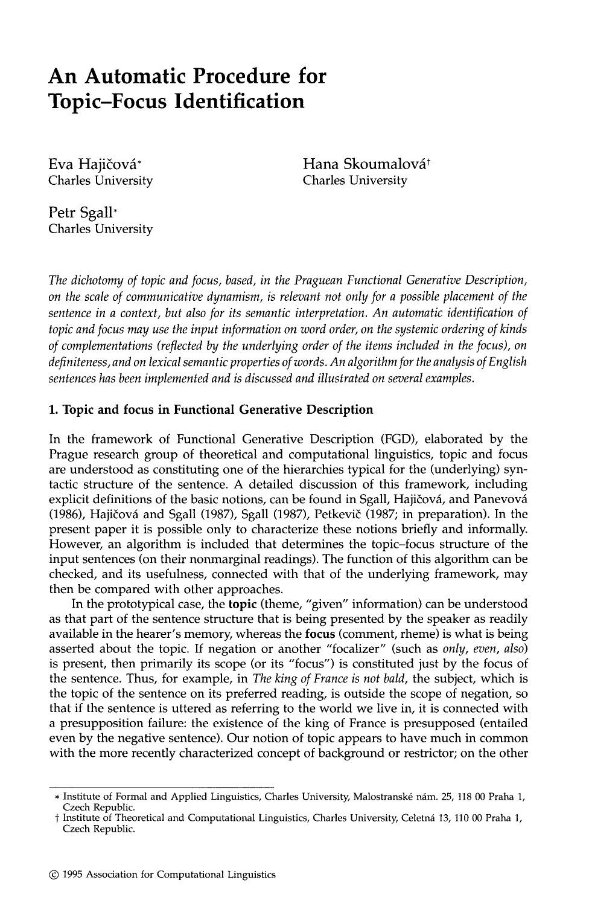# **An Automatic Procedure for Topic-Focus Identification**

Eva Hajičová\* Charles University Hana Skoumalová<sup>†</sup> Charles University

Petr **Sgall\***  Charles University

*The dichotomy of topic and focus, based, in the Praguean Functional Generative Description, on the scale of communicative dynamism, is relevant not only for a possible placement of the sentence in a context, but also for its semantic interpretation. An automatic identification of topic and focus may use the input information on word order, on the systemic ordering of kinds of complementations (reflected by the underlying order of the items included in the focus), on definiteness, and on lexical semantic properties of words. An algorithm for the analysis of English sentences has been implemented and is discussed and illustrated on several examples.* 

## **1. Topic and focus in Functional Generative Description**

In the framework of Functional Generative Description (FGD), elaborated by the Prague research group of theoretical and computational linguistics, topic and focus are understood as constituting one of the hierarchies typical for the (underlying) syntactic structure of the sentence. A detailed discussion of this framework, including explicit definitions of the basic notions, can be found in Sgall, Hajičová, and Panevová (1986), Hajičová and Sgall (1987), Sgall (1987), Petkevič (1987; in preparation). In the present paper it is possible only to characterize these notions briefly and informally. However, an algorithm is included that determines the topic-focus structure of the input sentences (on their nonmarginal readings). The function of this algorithm can be checked, and its usefulness, connected with that of the underlying framework, may then be compared with other approaches.

In the prototypical case, the **topic** (theme, "given" information) can be understood as that part of the sentence structure that is being presented by the speaker as readily available in the hearer's memory, whereas the focus (comment, rheme) is what is being asserted about the topic. If negation or another "focalizer" (such as *only, even, also)*  is present, then primarily its scope (or its "focus") is constituted just by the focus of the sentence. Thus, for example, in *The king of France is not bald,* the subject, which is the topic of the sentence on its preferred reading, is outside the scope of negation, so that if the sentence is uttered as referring to the world we live in, it is connected with a presupposition failure: the existence of the king of France is presupposed (entailed even by the negative sentence). Our notion of topic appears to have much in common with the more recently characterized concept of background or restrictor; on the other

<sup>\*</sup> Institute of Formal and Applied Linguistics, Charles University, Malostransk6 n~m. 25, 118 00 Praha 1, Czech Republic.

t Institute of Theoretical and Computational Linguistics, Charles University, Celetn~ 13, 110 00 Praha 1, Czech Republic.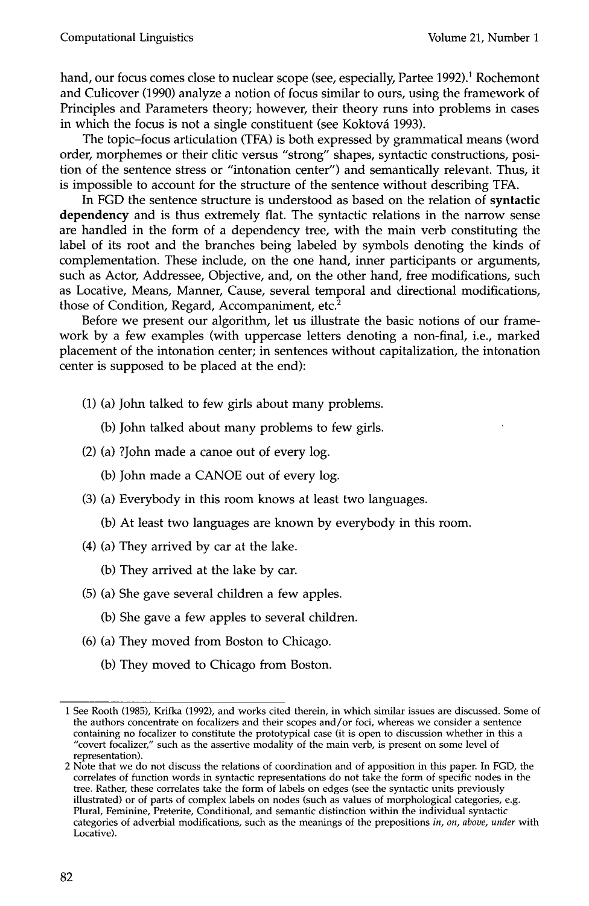hand, our focus comes close to nuclear scope (see, especially, Partee 1992).<sup>1</sup> Rochemont and Culicover (1990) analyze a notion of focus similar to ours, using the framework of Principles and Parameters theory; however, their theory runs into problems in cases in which the focus is not a single constituent (see Koktová 1993).

The topic-focus articulation (TFA) is both expressed by grammatical means (word order, morphemes or their clitic versus "strong" shapes, syntactic constructions, position of the sentence stress or "intonation center") and semantically relevant. Thus, it is impossible to account for the structure of the sentence without describing TFA.

In FGD the sentence structure is understood as based on the relation of syntactic dependency and is thus extremely flat. The syntactic relations in the narrow sense are handled in the form of a dependency tree, with the main verb constituting the label of its root and the branches being labeled by symbols denoting the kinds of complementation. These include, on the one hand, inner participants or arguments, such as Actor, Addressee, Objective, and, on the other hand, free modifications, such as Locative, Means, Manner, Cause, several temporal and directional modifications, those of Condition, Regard, Accompaniment, etc. $2$ 

Before we present our algorithm, let us illustrate the basic notions of our framework by a few examples (with uppercase letters denoting a non-final, i.e., marked placement of the intonation center; in sentences without capitalization, the intonation center is supposed to be placed at the end):

- (1) (a) John talked to few girls about many problems.
	- (b) John talked about many problems to few girls.
- (2) (a) ?John made a canoe out of every log.
	- (b) John made a CANOE out of every log.
- (3) (a) Everybody in this room knows at least two languages.
	- (b) At least two languages are known by everybody in this room.
- (4) (a) They arrived by car at the lake.
	- (b) They arrived at the lake by car.
- (5) (a) She gave several children a few apples.
	- (b) She gave a few apples to several children.
- (6) (a) They moved from Boston to Chicago.
	- (b) They moved to Chicago from Boston.

<sup>1</sup> See Rooth (1985), Krifka (1992), and works cited therein, in which similar issues are discussed. Some of the authors concentrate on focalizers and their scopes and/or foci, whereas we consider a sentence containing no focalizer to constitute the prototypical case (it is open to discussion whether in this a "covert focalizer," such as the assertive modality of the main verb, is present on some level of representation).

<sup>2</sup> Note that we do not discuss the relations of coordination and of apposition in this paper. In FGD, the correlates of function words in syntactic representations do not take the form of specific nodes in the tree. Rather, these correlates take the form of labels on edges (see the syntactic units previously illustrated) or of parts of complex labels on nodes (such as values of morphological categories, e.g. Plural, Feminine, Preterite, Conditional, and semantic distinction within the individual syntactic categories of adverbial modifications, such as the meanings of the prepositions *in, on, above, under* with Locative).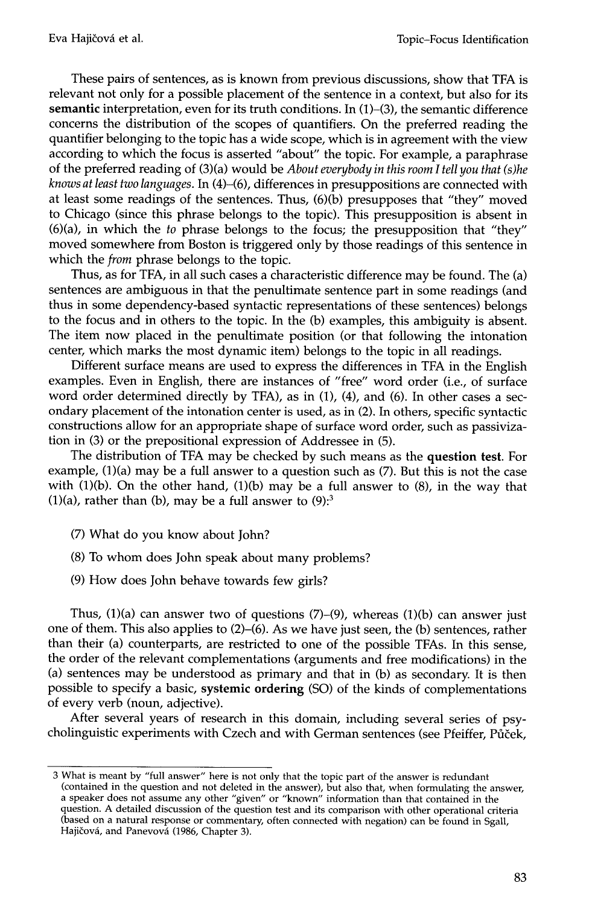These pairs of sentences, as is known from previous discussions, show that TFA is relevant not only for a possible placement of the sentence in a context, but also for its semantic interpretation, even for its truth conditions. In  $(1)-(3)$ , the semantic difference concerns the distribution of the scopes of quantifiers. On the preferred reading the quantifier belonging to the topic has a wide scope, which is in agreement with the view according to which the focus is asserted "about" the topic. For example, a paraphrase of the preferred reading of (3)(a) would be *About everybody in this room I tell you that (s)he knows at least two languages.* In (4)-(6), differences in presuppositions are connected with at least some readings of the sentences. Thus, (6)(b) presupposes that "they" moved to Chicago (since this phrase belongs to the topic). This presupposition is absent in (6)(a), in which the *to* phrase belongs to the focus; the presupposition that "they" moved somewhere from Boston is triggered only by those readings of this sentence in which the *from* phrase belongs to the topic.

Thus, as for TFA, in all such cases a characteristic difference may be found. The (a) sentences are ambiguous in that the penultimate sentence part in some readings (and thus in some dependency-based syntactic representations of these sentences) belongs to the focus and in others to the topic. In the (b) examples, this ambiguity is absent. The item now placed in the penultimate position (or that following the intonation center, which marks the most dynamic item) belongs to the topic in all readings.

Different surface means are used to express the differences in TFA in the English examples. Even in English, there are instances of "free" word order (i.e., of surface word order determined directly by TFA), as in (1), (4), and (6). In other cases a secondary placement of the intonation center is used, as in (2). In others, specific syntactic constructions allow for an appropriate shape of surface word order, such as passivization in (3) or the prepositional expression of Addressee in (5).

The distribution of TFA may be checked by such means as the question test. For example, (1)(a) may be a full answer to a question such as (7). But this is not the case with  $(1)(b)$ . On the other hand,  $(1)(b)$  may be a full answer to  $(8)$ , in the way that (1)(a), rather than (b), may be a full answer to  $(9)$ :<sup>3</sup>

- (7) What do you know about John?
- (8) To whom does John speak about many problems?
- (9) How does John behave towards few girls?

Thus,  $(1)(a)$  can answer two of questions  $(7)-(9)$ , whereas  $(1)(b)$  can answer just one of them. This also applies to  $(2)$ – $(6)$ . As we have just seen, the  $(b)$  sentences, rather than their (a) counterparts, are restricted to one of the possible TFAs. In this sense, the order of the relevant complementations (arguments and free modifications) in the (a) sentences may be understood as primary and that in (b) as secondary. It is then possible to specify a basic, systemic ordering (SO) of the kinds of complementations of every verb (noun, adjective).

After several years of research in this domain, including several series of psycholinguistic experiments with Czech and with German sentences (see Pfeiffer, Půček,

<sup>3</sup> What is meant by "full answer" here is not only that the topic part of the answer is redundant (contained in the question and not deleted in the answer), but also that, when formulating the answer, a speaker does not assume any other "given" or "known" information than that contained in the question. A detailed discussion of the question test and its comparison with other operational criteria (based on a natural response or commentary, often connected with negation) can be found in Sgall, Hajičová, and Panevová (1986, Chapter 3).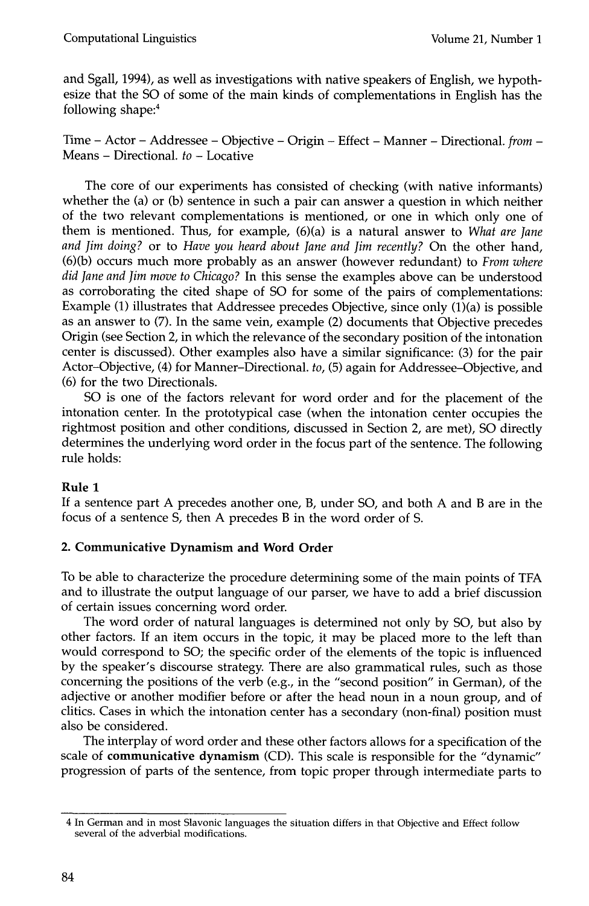and Sgall, 1994), as well as investigations with native speakers of English, we hypothesize that the SO of some of the main kinds of complementations in English has the following shape:<sup>4</sup>

Time - Actor - Addressee - Objective - Origin - Effect - Manner - Directional. *from -*  Means - Directional. *to -* Locative

The core of our experiments has consisted of checking (with native informants) whether the (a) or (b) sentence in such a pair can answer a question in which neither of the two relevant complementations is mentioned, or one in which only one of them is mentioned. Thus, for example, (6)(a) is a natural answer to *What are Jane and Jim doing?* or to *Have you heard about Jane and Jim recently?* On the other hand, (6)(b) occurs much more probably as an answer (however redundant) to *From where did Jane and Jim move to Chicago?* In this sense the examples above can be understood as corroborating the cited shape of SO for some of the pairs of complementations: Example (1) illustrates that Addressee precedes Objective, since only (1)(a) is possible as an answer to (7). In the same vein, example (2) documents that Objective precedes Origin (see Section 2, in which the relevance of the secondary position of the intonation center is discussed). Other examples also have a similar significance: (3) for the pair Actor-Objective, (4) for Manner-Directional. *to,* (5) again for Addressee-Objective, and (6) for the two Directionals.

SO is one of the factors relevant for word order and for the placement of the intonation center. In the prototypical case (when the intonation center occupies the rightmost position and other conditions, discussed in Section 2, are met), SO directly determines the underlying word order in the focus part of the sentence. The following rule holds:

## **Rule 1**

If a sentence part A precedes another one, B, under SO, and both A and B are in the focus of a sentence S, then A precedes B in the word order of S.

## **2. Communicative Dynamism and Word Order**

To be able to characterize the procedure determining some of the main points of TFA and to illustrate the output language of our parser, we have to add a brief discussion of certain issues concerning word order.

The word order of natural languages is determined not only by SO, but also by other factors. If an item occurs in the topic, it may be placed more to the left than would correspond to SO; the specific order of the elements of the topic is influenced by the speaker's discourse strategy. There are also grammatical rules, such as those concerning the positions of the verb (e.g., in the "second position" in German), of the adjective or another modifier before or after the head noun in a noun group, and of clitics. Cases in which the intonation center has a secondary (non-final) position must also be considered.

The interplay of word order and these other factors allows for a specification of the scale of **communicative dynamism** (CD). This scale is responsible for the "dynamic" progression of parts of the sentence, from topic proper through intermediate parts to

<sup>4</sup> In German and in most Slavonic languages the situation differs in that Objective and Effect follow several of the adverbial modifications.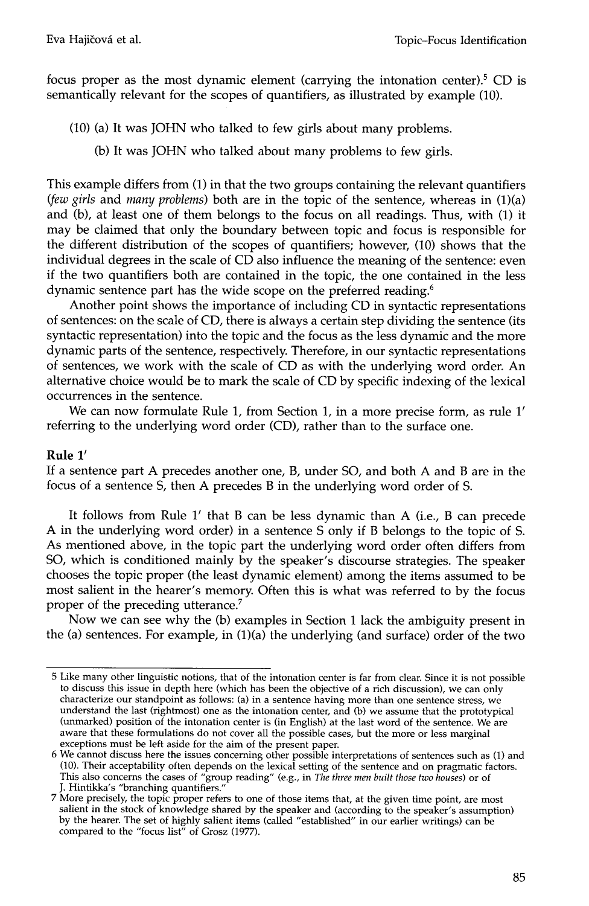focus proper as the most dynamic element (carrying the intonation center).<sup>5</sup> CD is semantically relevant for the scopes of quantifiers, as illustrated by example (10).

- (10) (a) It was JOHN who talked to few girls about many problems.
	- (b) It was JOHN who talked about many problems to few girls.

This example differs from (1) in that the two groups containing the relevant quantifiers *(few girls* and *many problems)* both are in the topic of the sentence, whereas in (1)(a) and (b), at least one of them belongs to the focus on all readings. Thus, with (1) it may be claimed that only the boundary between topic and focus is responsible for the different distribution of the scopes of quantifiers; however, (10) shows that the individual degrees in the scale of CD also influence the meaning of the sentence: even if the two quantifiers both are contained in the topic, the one contained in the less dynamic sentence part has the wide scope on the preferred reading.<sup>6</sup>

Another point shows the importance of including CD in syntactic representations of sentences: on the scale of CD, there is always a certain step dividing the sentence (its syntactic representation) into the topic and the focus as the less dynamic and the more dynamic parts of the sentence, respectively. Therefore, in our syntactic representations of sentences, we work with the scale of CD as with the underlying word order. An alternative choice would be to mark the scale of CD by specific indexing of the lexical occurrences in the sentence.

We can now formulate Rule 1, from Section 1, in a more precise form, as rule  $1'$ referring to the underlying word order (CD), rather than to the surface one.

#### **Rule 1'**

If a sentence part A precedes another one, B, under SO, and both A and B are in the focus of a sentence S, then A precedes B in the underlying word order of S.

It follows from Rule  $1'$  that B can be less dynamic than A (i.e., B can precede A in the underlying word order) in a sentence S only if B belongs to the topic of S. As mentioned above, in the topic part the underlying word order often differs from SO, which is conditioned mainly by the speaker's discourse strategies. The speaker chooses the topic proper (the least dynamic element) among the items assumed to be most salient in the hearer's memory. Often this is what was referred to by the focus proper of the preceding utterance.<sup>7</sup>

Now we can see why the (b) examples in Section 1 lack the ambiguity present in the (a) sentences. For example, in (1)(a) the underlying (and surface) order of the two

<sup>5</sup> Like many other linguistic notions, that of the intonation center is far from clean Since it is not possible to discuss this issue in depth here (which has been the objective of a rich discussion), we can only characterize our standpoint as follows: (a) in a sentence having more than one sentence stress, we understand the last (rightmost) one as the intonation center, and (b) we assume that the prototypical (unmarked) position of the intonation center is (in English) at the last word of the sentence. We are aware that these formulations do not cover all the possible cases, but the more or less marginal exceptions must be left aside for the aim of the present paper.

<sup>6</sup> We cannot discuss here the issues concerning other possible interpretations of sentences such as (1) and (10). Their acceptability often depends on the lexical setting of the sentence and on pragmatic factors. This also concerns the cases of "group reading" (e.g., in *The three men built those two houses)* or of J. Hintikka's "branching quantifiers."

<sup>7</sup> More precisely, the topic proper refers to one of those items that, at the given time point, are most salient in the stock of knowledge shared by the speaker and (according to the speaker's assumption) by the hearer. The set of highly salient items (called "established" in our earlier writings) can be compared to the "focus list" of Grosz (1977).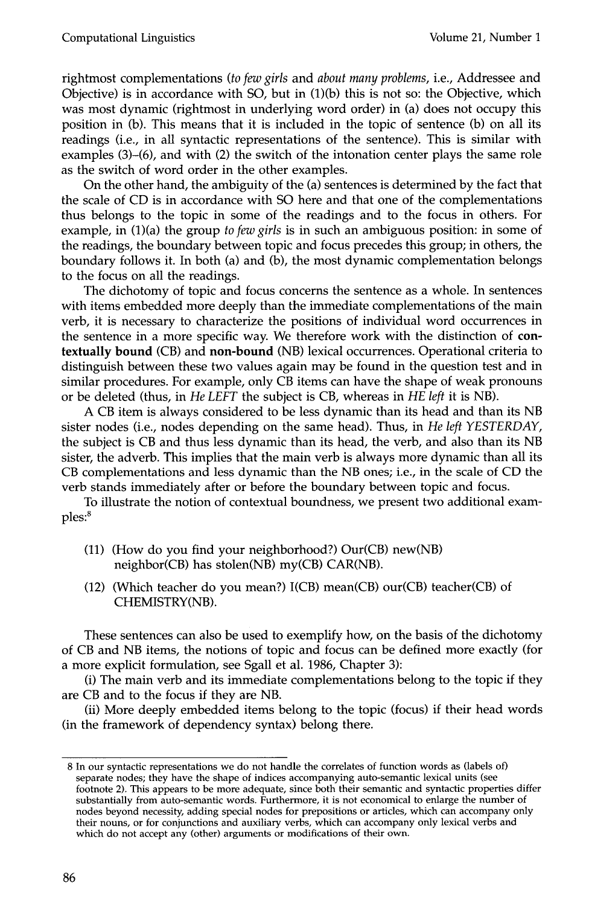rightmost complementations *(to few girls* and *about many problems,* i.e., Addressee and Objective) is in accordance with SO, but in (1)(b) this is not so: the Objective, which was most dynamic (rightmost in underlying word order) in (a) does not occupy this position in (b). This means that it is included in the topic of sentence (b) on all its readings (i.e., in all syntactic representations of the sentence). This is similar with examples (3)–(6), and with (2) the switch of the intonation center plays the same role as the switch of word order in the other examples.

On the other hand, the ambiguity of the (a) sentences is determined by the fact that the scale of CD is in accordance with SO here and that one of the complementations thus belongs to the topic in some of the readings and to the focus in others. For example, in (1)(a) the group *to few girls* is in such an ambiguous position: in some of the readings, the boundary between topic and focus precedes this group; in others, the boundary follows it. In both (a) and (b), the most dynamic complementation belongs to the focus on all the readings.

The dichotomy of topic and focus concerns the sentence as a whole. In sentences with items embedded more deeply than the immediate complementations of the main verb, it is necessary to characterize the positions of individual word occurrences in the sentence in a more specific way. We therefore work with the distinction of contextually **bound** (CB) and **non-bound** (NB) lexical occurrences. Operational criteria to distinguish between these two values again may be found in the question test and in similar procedures. For example, only CB items can have the shape of weak pronouns or be deleted (thus, in *He LEFT* the subject is CB, whereas in *HE left* it is NB).

A CB item is always considered to be less dynamic than its head and than its NB sister nodes (i.e., nodes depending on the same head). Thus, in *He left YESTERDAY,*  the subject is CB and thus less dynamic than its head, the verb, and also than its NB sister, the adverb. This implies that the main verb is always more dynamic than all its CB complementations and less dynamic than the NB ones; i.e., in the scale of CD the verb stands immediately after or before the boundary between topic and focus.

To illustrate the notion of contextual boundness, we present two additional exam $ples: <sup>8</sup>$ 

- (11) (How do you find your neighborhood?) Our(CB) new(NB) neighbor(CB) has stolen(NB) my(CB) CAR(NB).
- (12) (Which teacher do you mean?) I(CB) mean(CB) our(CB) teacher(CB) of CHEMISTRY(NB).

These sentences can also be used to exemplify how, on the basis of the dichotomy of CB and NB items, the notions of topic and focus can be defined more exactly (for a more explicit formulation, see Sgall et al. 1986, Chapter 3):

(i) The main verb and its immediate complementations belong to the topic if they are CB and to the focus if they are NB.

(ii) More deeply embedded items belong to the topic (focus) if their head words (in the framework of dependency syntax) belong there.

<sup>8</sup> In our syntactic representations we do not handle the correlates of function words as (labels of) separate nodes; they have the shape of indices accompanying auto-semantic lexical units (see footnote 2). This appears to be more adequate, since both their semantic and syntactic properties differ substantially from auto-semantic words. Furthermore, it is not economical to enlarge the number of nodes beyond necessity, adding special nodes for prepositions or articles, which can accompany only their nouns, or for conjunctions and auxiliary verbs, which can accompany only lexical verbs and which do not accept any (other) arguments or modifications of their own.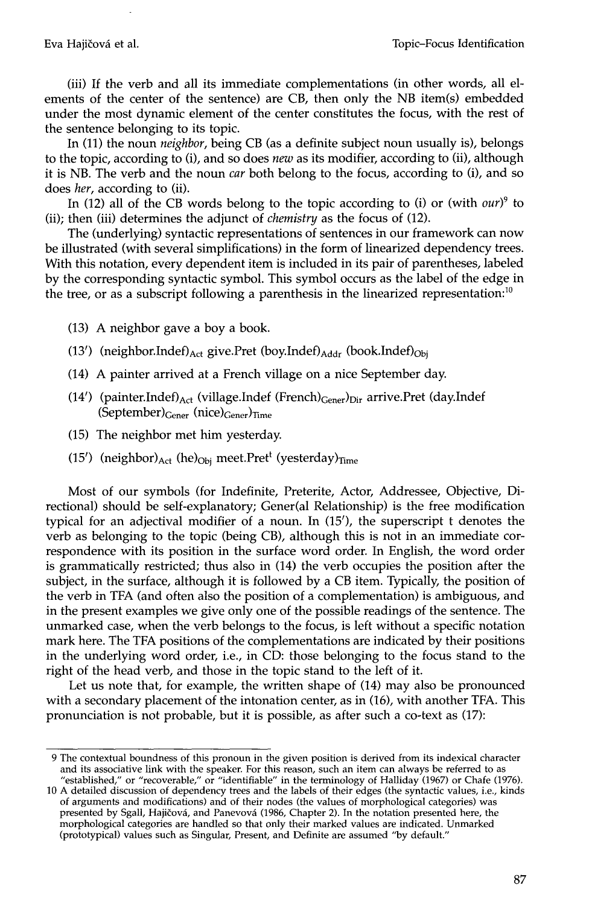(iii) If the verb and all its immediate complementations (in other words, all elements of the center of the sentence) are CB, then only the NB item(s) embedded under the most dynamic element of the center constitutes the focus, with the rest of the sentence belonging to its topic.

In (11) the noun *neighbor,* being CB (as a definite subject noun usually is), belongs to the topic, according to (i), and so does *new* as its modifier, according to (ii), although it is NB. The verb and the noun *car* both belong to the focus, according to (i), and so does *her,* according to (ii).

In (12) all of the CB words belong to the topic according to (i) or (with  $our$ )<sup>9</sup> to (ii); then (iii) determines the adjunct of *chemistry* as the focus of (12).

The (underlying) syntactic representations of sentences in our framework can now be illustrated (with several simplifications) in the form of linearized dependency trees. With this notation, every dependent item is included in its pair of parentheses, labeled by the corresponding syntactic symbol. This symbol occurs as the label of the edge in the tree, or as a subscript following a parenthesis in the linearized representation:<sup>10</sup>

- (13) A neighbor gave a boy a book.
- (13') (neighbor.Indef) $_{\text{Act}}$  give.Pret (boy.Indef) $_{\text{Addr}}$  (book.Indef) $_{\text{Obj}}$
- (14) A painter arrived at a French village on a nice September day.
- (14') (painter.Indef) $_{\text{Act}}$  (village.Indef (French) $_{\text{Gener}}$ ) $_{\text{Dir}}$  arrive.Pret (day.Indef  $(September)_{Gener}$  (nice) $_{Gener}$ )<sub>Time</sub>
- (15) The neighbor met him yesterday.
- (15') (neighbor) $_{\text{Act}}$  (he) $_{\text{Obj}}$  meet.Pret<sup>t</sup> (yesterday) $_{\text{Time}}$

Most of our symbols (for Indefinite, Preterite, Actor, Addressee, Objective, Directional) should be self-explanatory; Gener(al Relationship) is the free modification typical for an adjectival modifier of a noun. In  $(15')$ , the superscript t denotes the verb as belonging to the topic (being CB), although this is not in an immediate correspondence with its position in the surface word order. In English, the word order is grammatically restricted; thus also in (14) the verb occupies the position after the subject, in the surface, although it is followed by a CB item. Typically, the position of the verb in TFA (and often also the position of a complementation) is ambiguous, and in the present examples we give only one of the possible readings of the sentence. The unmarked case, when the verb belongs to the focus, is left without a specific notation mark here. The TFA positions of the complementations are indicated by their positions in the underlying word order, i.e., in CD: those belonging to the focus stand to the right of the head verb, and those in the topic stand to the left of it.

Let us note that, for example, the written shape of (14) may also be pronounced with a secondary placement of the intonation center, as in (16), with another TFA. This pronunciation is not probable, but it is possible, as after such a co-text as (17):

<sup>9</sup> The contextual boundness of this pronoun in the given position is derived from its indexical character and its associative link with the speaker. For this reason, such an item can always be referred to as "established," or "recoverable," or "identifiable" in the terminology of Halliday (1967) or Chafe (1976).

<sup>10</sup> A detailed discussion of dependency trees and the labels of their edges (the syntactic values, i.e., kinds of arguments and modifications) and of their nodes (the values of morphological categories) was presented by Sgall, Hajičová, and Panevová (1986, Chapter 2). In the notation presented here, the morphological categories are handled so that only their marked values are indicated. Unmarked (prototypical) values such as Singular, Present, and Definite are assumed "by default."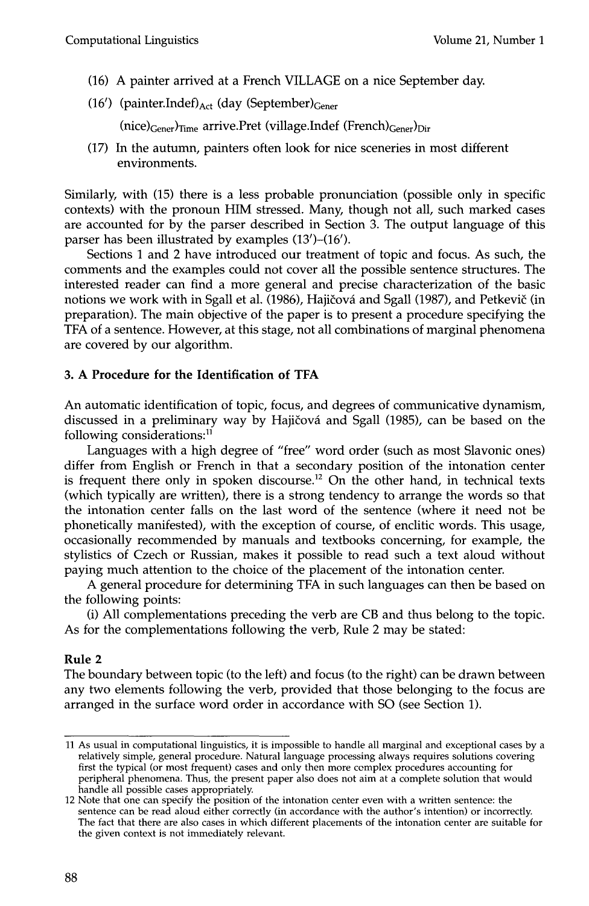- (16) A painter arrived at a French VILLAGE on a nice September day.
- (16') (painter.Indef) $_{\rm Act}$  (day (September) $_{\rm Gener}$

(nice)<sub>Gener</sub>)<sub>Time</sub> arrive.Pret (village.Indef (French)<sub>Gener</sub>)<sub>Dir</sub>

(17) In the autumn, painters often look for nice sceneries in most different environments.

Similarly, with (15) there is a less probable pronunciation (possible only in specific contexts) with the pronoun HIM stressed. Many, though not all, such marked cases are accounted for by the parser described in Section 3. The output language of this parser has been illustrated by examples (13')-(16').

Sections 1 and 2 have introduced our treatment of topic and focus. As such, the comments and the examples could not cover all the possible sentence structures. The interested reader can find a more general and precise characterization of the basic notions we work with in Sgall et al. (1986), Hajičová and Sgall (1987), and Petkevič (in preparation). The main objective of the paper is to present a procedure specifying the TFA of a sentence. However, at this stage, not all combinations of marginal phenomena are covered by our algorithm.

# **3. A Procedure for the Identification of TFA**

An automatic identification of topic, focus, and degrees of communicative dynamism, discussed in a preliminary way by Hajičová and Sgall (1985), can be based on the following considerations:<sup>11</sup>

Languages with a high degree of "free" word order (such as most Slavonic ones) differ from English or French in that a secondary position of the intonation center is frequent there only in spoken discourse.<sup>12</sup> On the other hand, in technical texts (which typically are written), there is a strong tendency to arrange the words so that the intonation center falls on the last word of the sentence (where it need not be phonetically manifested), with the exception of course, of enclitic words. This usage, occasionally recommended by manuals and textbooks concerning, for example, the stylistics of Czech or Russian, makes it possible to read such a text aloud without paying much attention to the choice of the placement of the intonation center.

A general procedure for determining TFA in such languages can then be based on the following points:

(i) All complementations preceding the verb are CB and thus belong to the topic. As for the complementations following the verb, Rule 2 may be stated:

## **Rule 2**

The boundary between topic (to the left) and focus (to the right) can be drawn between any two elements following the verb, provided that those belonging to the focus are arranged in the surface word order in accordance with SO (see Section 1).

<sup>11</sup> As usual in computational linguistics, it is impossible to handle all marginal and exceptional cases by a relatively simple, general procedure. Natural language processing always requires solutions covering first the typical (or most frequent) cases and only then more cemplex procedures accounting for peripheral phenomena. Thus, the present paper also does not aim at a complete solution that would handle all possible cases appropriately.

<sup>12</sup> Note that one can specify the position of the intonation center even with a written sentence: the sentence can be read aloud either correctly (in accordance with the author's intention) or incorrectly. The fact that there are also cases in which different placements of the intonation center are suitable for the given context is not immediately relevant.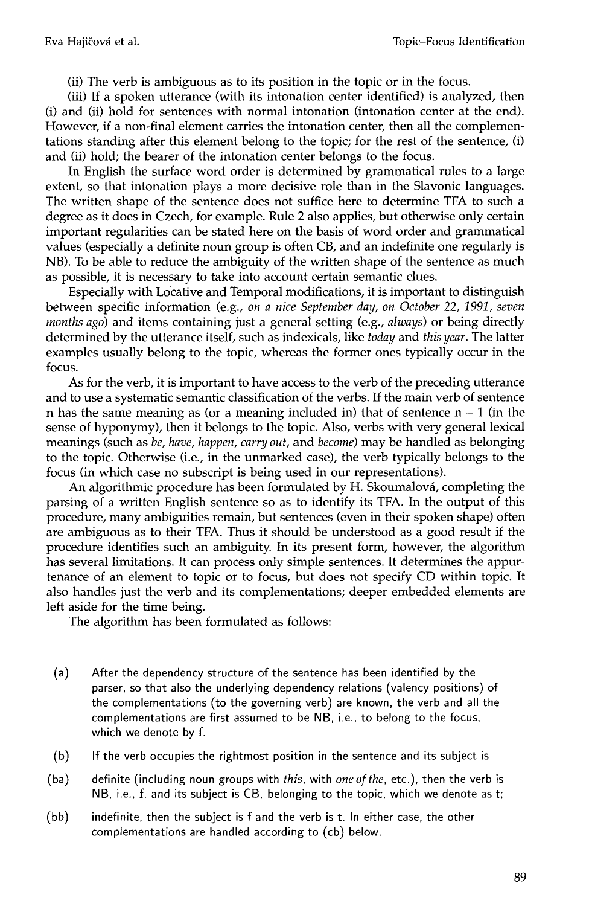(ii) The verb is ambiguous as to its position in the topic or in the focus.

(iii) If a spoken utterance (with its intonation center identified) is analyzed, then (i) and (ii) hold for sentences with normal intonation (intonation center at the end). However, if a non-final element carries the intonation center, then all the complementations standing after this element belong to the topic; for the rest of the sentence, (i) and (ii) hold; the bearer of the intonation center belongs to the focus.

In English the surface word order is determined by grammatical rules to a large extent, so that intonation plays a more decisive role than in the Slavonic languages. The written shape of the sentence does not suffice here to determine TFA to such a degree as it does in Czech, for example. Rule 2 also applies, but otherwise only certain important regularities can be stated here on the basis of word order and grammatical values (especially a definite noun group is often CB, and an indefinite one regularly is NB). To be able to reduce the ambiguity of the written shape of the sentence as much as possible, it is necessary to take into account certain semantic clues.

Especially with Locative and Temporal modifications, it is important to distinguish between specific information (e.g., *on a nice September day, on October 22, 1991, seven months ago)* and items containing just a general setting (e.g., *always)* or being directly determined by the utterance itself, such as indexicals, like *today* and *this year.* The latter examples usually belong to the topic, whereas the former ones typically occur in the focus.

As for the verb, it is important to have access to the verb of the preceding utterance and to use a systematic semantic classification of the verbs. If the main verb of sentence n has the same meaning as (or a meaning included in) that of sentence  $n - 1$  (in the sense of hyponymy), then it belongs to the topic. Also, verbs with very general lexical meanings (such as *be, have, happen, carry out,* and *become)* may be handled as belonging to the topic. Otherwise (i.e., in the unmarked case), the verb typically belongs to the focus (in which case no subscript is being used in our representations).

An algorithmic procedure has been formulated by H. Skoumalová, completing the parsing of a written English sentence so as to identify its TFA. In the output of this procedure, many ambiguities remain, but sentences (even in their spoken shape) often are ambiguous as to their TFA. Thus it should be understood as a good result if the procedure identifies such an ambiguity. In its present form, however, the algorithm has several limitations. It can process only simple sentences. It determines the appurtenance of an element to topic or to focus, but does not specify CD within topic. It also handles just the verb and its complementations; deeper embedded elements are left aside for the time being.

The algorithm has been formulated as follows:

- (a) After the dependency structure of the sentence has been identified by the parser, so that also the underlying dependency relations (valency positions) of the complementations (to the governing verb) are known, the verb and all the complementations are first assumed to be NB, i.e., to belong to the focus, which we denote by f.
- (b) If the verb occupies the rightmost position in the sentence and its subject is
- (ba) definite (including noun groups with *this,* with *oneofthe,* etc.), then the verb is NB, i.e., f, and its subject is CB, belonging to the topic, which we denote as t;
- (bb) indefinite, then the subject is f and the verb is t. In either case, the other complementations are handled according to (cb) below.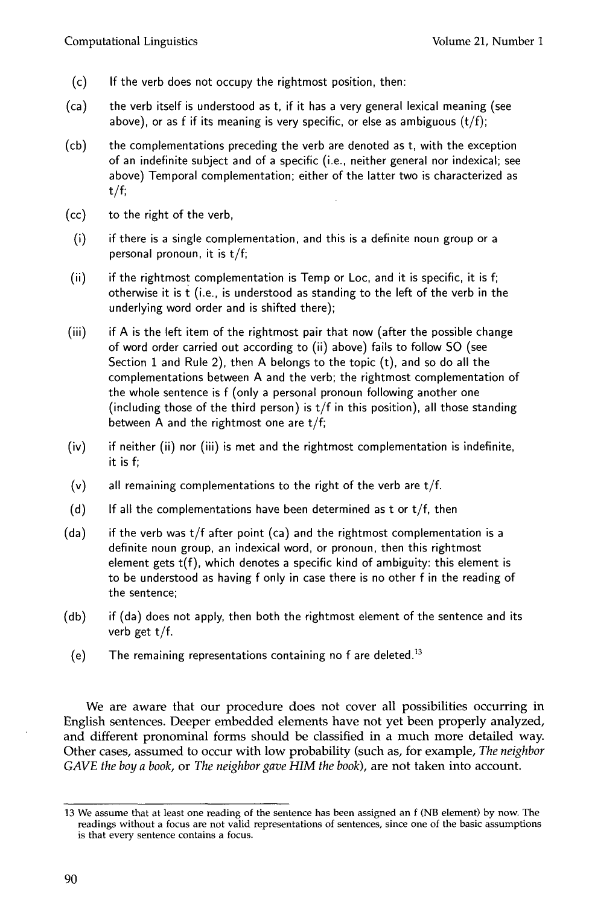- (c) If the verb does not occupy the rightmost position, then:
- (ca) the verb itself is understood as t, if it has a very general lexical meaning (see above), or as f if its meaning is very specific, or else as ambiguous  $(t/f)$ ;
- (cb) the complementations preceding the verb are denoted as t, with the exception of an indefinite subject and of a specific (i.e., neither general nor indexical; see above) Temporal complementation; either of the latter two is characterized as  $t/f$ ;
- (cc) to the right of the verb,
- (i) if there is a single complementation, and this is a definite noun group or a personal pronoun, it is t/f;
- (ii) if the rightmost complementation is Temp or Loc, and it is specific, it is f; otherwise it is t (i.e., is understood as standing to the left of the verb in the underlying word order and is shifted there);
- (iii) if A is the left item of the rightmost pair that now (after the possible change of word order carried out according to (ii) above) fails to follow SO (see Section 1 and Rule 2), then A belongs to the topic  $(t)$ , and so do all the complementations between A and the verb; the rightmost complementation of the whole sentence is f (only a personal pronoun following another one (including those of the third person) is  $t/f$  in this position), all those standing between A and the rightmost one are t/f;
- (iv) if neither (ii) nor (iii) is met and the rightmost complementation is indefinite, it is f;
- $(v)$  all remaining complementations to the right of the verb are  $t/f$ .
- (d) If all the complementations have been determined as t or  $t/f$ , then
- (da) if the verb was t/f after point (ca) and the rightmost complementation is a definite noun group, an indexical word, or pronoun, then this rightmost element gets t(f), which denotes a specific kind of ambiguity: this element is to be understood as having f only in case there is no other f in the reading of the sentence;
- (db) if (da) does not apply, then both the rightmost element of the sentence and its verb get t/f.
- (e) The remaining representations containing no  $f$  are deleted.<sup>13</sup>

We are aware that our procedure does not cover all possibilities occurring in English sentences. Deeper embedded elements have not yet been properly analyzed, and different pronominal forms should be classified in a much more detailed way. Other cases, assumed to occur with low probability (such as, for example, *The neighbor GAVE the boy a book,* or *The neighbor gave HIM the book),* are not taken into account.

<sup>13</sup> We assume that at least one reading of the sentence has been assigned an f (NB element) by now. The readings without a focus are not valid representations of sentences, since one of the basic assumptions is that every sentence contains a focus.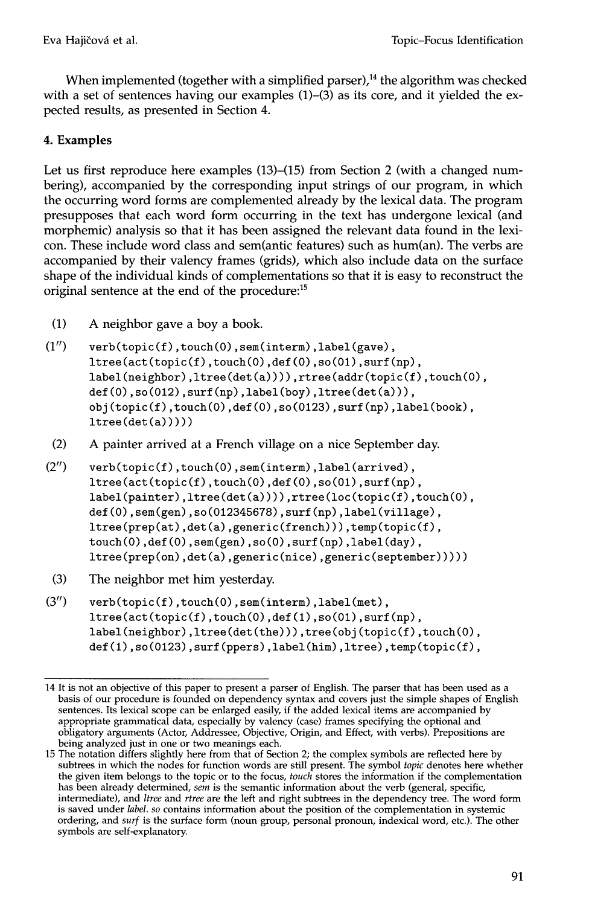When implemented (together with a simplified parser),<sup>14</sup> the algorithm was checked with a set of sentences having our examples  $(1)$ – $(3)$  as its core, and it yielded the expected results, as presented in Section 4.

# **4. Examples**

Let us first reproduce here examples (13)–(15) from Section 2 (with a changed numbering), accompanied by the corresponding input strings of our program, in which the occurring word forms are complemented already by the lexical data. The program presupposes that each word form occurring in the text has undergone lexical (and morphemic) analysis so that it has been assigned the relevant data found in the lexicon. These include word class and sem(antic features) such as hum(an). The verbs are accompanied by their valency frames (grids), which also include data on the surface shape of the individual kinds of complementations so that it is easy to reconstruct the original sentence at the end of the procedure:<sup>15</sup>

- (1) A neighbor gave a boy a book.
- (1") verb(topic(f),touch(0),sem(interm),label(gave), Itree(act(topic(f),touch(0),def(0),so(01),surf(np), label(neighbor),ltree(det(a)))),rtree(addr(topic(f),touch(0),  $def(0), so(012), surf(np), label(boy), litreed(det(a))$ , obj(topic(f),touch(0),def(0),so(0123),surf(np),label(book),  $Itree(det(a))))$
- $(2)$  A painter arrived at a French village on a nice September day.
- (2") verb(topic(f),touch(0),sem(interm),label(arrived), itree(act(topic(f),touch(0),def(0),so(01),surf(np), label(painter),ltree(det(a)))),rtree(loc(topic(f),touch(0), def(0),sem(gen),so(012345678),surf(np),label(village), itree(prep(at),det(a),generic(french))),temp(topic(f), touch(0),def(0),sem(gen),so(0),surf(np),label(day), itree(prep(on),det(a),generic(nice),generic(september)))))
- $(3)$  The neighbor met him yesterday.
- (3") verb(topic(f),touch(0),sem(interm),label(met), itree(act(topic(f),touch(0),def(1),so(01),surf(np), label(neighbor),ltree(det(the))),tree(obj(topic(f),touch(0), def(1),so(0123),surf(ppers),label(him),ltree),temp(topic(f),

<sup>14</sup> It is not an objective of this paper to present a parser of English. The parser that has been used as a basis of our procedure is founded on dependency syntax and covers just the simple shapes of English sentences. Its lexical scope can be enlarged easily, if the added lexical items are accompanied by appropriate grammatical data, especially by valency (case) frames specifying the optional and obligatory arguments (Actor, Addressee, Objective, Origin, and Effect, with verbs). Prepositions are being analyzed just in one or two meanings each.

<sup>15</sup> The notation differs slightly here from that of Section 2; the complex symbols are reflected here by subtrees in which the nodes for function words are still present. The symbol *topic* denotes here whether the given item belongs to the topic or to the focus, *touch* stores the information if the complementation has been already determined, *sem* is the semantic information about the verb (general, specific, intermediate), and *Itree* and *rtree* are the left and right subtrees in the dependency tree. The word form is saved under *label, so* contains information about the position of the complementation in systemic ordering, and *surf* is the surface form (noun group, personal pronoun, indexical word, etc.). The other symbols are self-explanatory.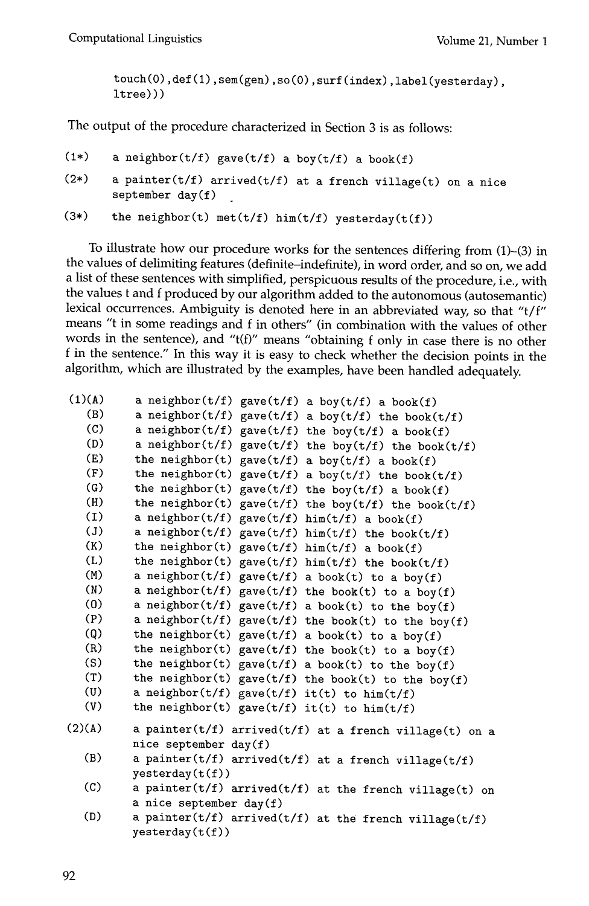touch(O),def(1),sem(gen),so(O),surf(index),label(yesterday), ltree)))

The output of the procedure characterized in Section 3 is as follows:

```
(1*)a neighbor(t/f) gave(t/f) a boy(t/f) a book(f)
```
 $(2*)$ a painter(t/f) arrived(t/f) at a french village(t) on a nice september day(f)

```
(3*) 
       the neighbor(t) met(t/f) him(t/f) yesterday(t(f))
```
To illustrate how our procedure works for the sentences differing from (1)-(3) in the values of delimiting features (definite-indefinite), in word order, and so on, we add a list of these sentences with simplified, perspicuous results of the procedure, i.e., with the values t and f produced by our algorithm added to the autonomous (autosemantic) lexical occurrences. Ambiguity is denoted here in an abbreviated way, so that "t/f" means "t in some readings and f in others" (in combination with the values of other words in the sentence), and "t(f)" means "obtaining f only in case there is no other f in the sentence." In this way it is easy to check whether the decision points in the algorithm, which are illustrated by the examples, have been handled adequately.

```
(1)(A) a neighbor(t/f) gave(t/f) 
a boy(t/f) a book(f) 
   (B) a neighbor(t/f) gave(t/f) 
a boy(t/f) the book(t/f) 
   (C) a neighbor(t/f) gave(t/f) 
the boy(t/f) a book(f) 
   (D) a neighbor(t/f) gave(t/f) 
the boy(t/f) the book(t/f) 
   (E) the neighbor(t) gave(t/f) 
a boy(t/f) a book(f) 
   (F) the neighbor(t) gave(t/f) 
a boy(t/f) the book(t/f) 
   (G) the neighbor(t) gave(t/f) 
the boy(t/f) a book(f) 
   (H) the neighbor(t) gave(t/f) 
the boy(t/f) the book(t/f) 
   (I) a neighbor(t/f) gave(t/f) 
him(t/f) a book(f) 
   (J) a neighbor(t/f) gave(t/f) 
him(t/f) the book(t/f) 
   (K) the neighbor(t) gave(t/f) 
him(t/f) a book(f) 
   (L) the neighbor(t) gave(t/f) 
him(t/f) the book(t/f) 
   (M) a neighbor(t/f) gave(t/f) 
a book(t) to a boy(f) 
   (N) a neighbor(t/f) gave(t/f) the book(t) to a boy(f)
  (0) a neighbor(t/f) gave(t/f) 
a book(t) to the boy(f) 
  (P) a neighbor(t/f) gave(t/f) the book(t) to the boy(f)
  (Q) the neighbor(t) gave(t/f) 
a book(t) to a boy(f) 
  (R) the neighbor(t) gave(t/f) the book(t) to a boy(f)
  (S) the neighbor(t) gave(t/f) 
a book(t) to the boy(f) 
  (T) the neighbor(t) gave(t/f) 
the book(t) to the boy(f) 
  (U) a neighbor(t/f) gave(t/f) 
it(t) to him(t/f) 
  (V) the neighbor(t) gave(t/f) 
it(t) to him(t/f) 
(2)(A)(B) 
  (C) 
  (D) 
         a painter(t/f) arrived(t/f) at a french village(t) on a
         nice september day(f) 
         a painter(t/f) arrived(t/f) at a french village(t/f)
         yesterday(t(f))a painter(t/f) arrived(t/f) at the french village(t) on
         a nice september day(f)a painter(t/f) arrived(t/f) at the french village(t/f)
         yesterday(t(f))
```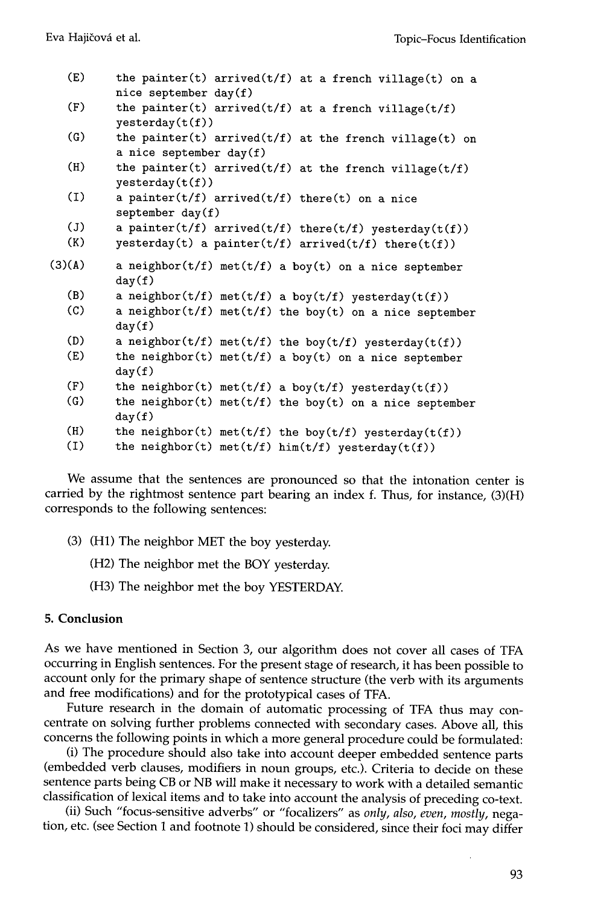| the painter(t) arrived(t/f) at a french village(t) on a                |
|------------------------------------------------------------------------|
|                                                                        |
| the painter(t) $arrived(t/f)$ at a french village( $t/f$ )             |
|                                                                        |
| the painter(t) arrived(t/f) at the french village(t) on                |
|                                                                        |
| the painter(t) $arrived(t/f)$ at the french village( $t/f$ )           |
| a painter( $t/f$ ) arrived( $t/f$ ) there( $t$ ) on a nice             |
|                                                                        |
| a painter( $t/f$ ) arrived( $t/f$ ) there( $t/f$ ) yesterday( $t(f)$ ) |
| yesterday(t) a painter(t/f) arrived(t/f) there(t(f))                   |
| a neighbor( $t/f$ ) met( $t/f$ ) a boy( $t$ ) on a nice september      |
|                                                                        |
| a neighbor( $t/f$ ) met( $t/f$ ) a boy( $t/f$ ) yesterday( $t(f)$ )    |
| a neighbor( $t/f$ ) met( $t/f$ ) the boy( $t$ ) on a nice september    |
|                                                                        |
| a neighbor( $t/f$ ) met( $t/f$ ) the boy( $t/f$ ) yesterday( $t(f)$ )  |
| the neighbor(t) met(t/f) a boy(t) on a nice september                  |
|                                                                        |
| the neighbor(t) met(t/f) a boy(t/f) yesterday(t(f))                    |
|                                                                        |
|                                                                        |
| the neighbor(t) met(t/f) the boy(t) on a nice september                |
| the neighbor(t) met(t/f) the boy(t/f) yesterday(t(f))                  |
|                                                                        |

We assume that the sentences are pronounced so that the intonation center is carried by the rightmost sentence part bearing an index f. Thus, for instance, (3)(H) corresponds to the following sentences:

- (3) (H1) The neighbor MET the boy yesterday.
	- (H2) The neighbor met the BOY yesterday.
	- (H3) The neighbor met the boy YESTERDAY.

## **5. Conclusion**

As we have mentioned in Section 3, our algorithm does not cover all cases of TFA occurring in English sentences. For the present stage of research, it has been possible to account only for the primary shape of sentence structure (the verb with its arguments and free modifications) and for the prototypical cases of TFA.

Future research in the domain of automatic processing of TFA thus may concentrate on solving further problems connected with secondary cases. Above all, this concerns the following points in which a more general procedure could be formulated:

(i) The procedure should also take into account deeper embedded sentence parts (embedded verb clauses, modifiers in noun groups, etc.). Criteria to decide on these sentence parts being CB or NB will make it necessary to work with a detailed semantic classification of lexical items and to take into account the analysis of preceding co-text.

(ii) Such "focus-sensitive adverbs" or "focalizers" as *only, also, even, mostly,* negation, etc. (see Section 1 and footnote 1) should be considered, since their foci may differ